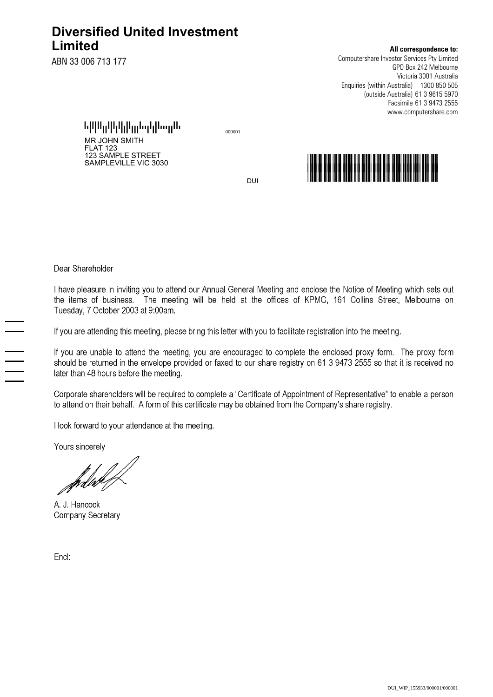# **Diversified United Investment Limited**

ABN 33 006 713 177

## **All correspondence to:**

Computershare Investor Services Pty Limited GPO Box 242 Melbourne Victoria 3001 Australia Enquiries (within Australia) 1300 850 505 61 3 9615 5970 (outside Australia) 61 3 9473 2555 Facsimile www.computershare.com

1301011221012102012221332120133322113 <sup>000001</sup> MR JOHN SMITH FLAT 123 123 SAMPLE STREET



DUI

Dear Shareholder

I have pleasure in inviting you to attend our Annual General Meeting and enclose the Notice of Meeting which sets out the items of business. The meeting will be held at the offices of KPMG, 161 Collins Street, Melbourne on Tuesday, 7 October 2003 at 9:00am.

If you are attending this meeting, please bring this letter with you to facilitate registration into the meeting.

If you are unable to attend the meeting, you are encouraged to complete the enclosed proxy form. The proxy form should be returned in the envelope provided or faxed to our share registry on 61 3 9473 2555 so that it is received no later than 48 hours before the meeting.

Corporate shareholders will be required to complete a "Certificate of Appointment of Representative" to enable a person to attend on their behalf. A form of this certificate may be obtained from the Company's share registry.

I look forward to your attendance at the meeting.

Yours sincerely

fødne (f

A. J. Hancock Company Secretary

Encl: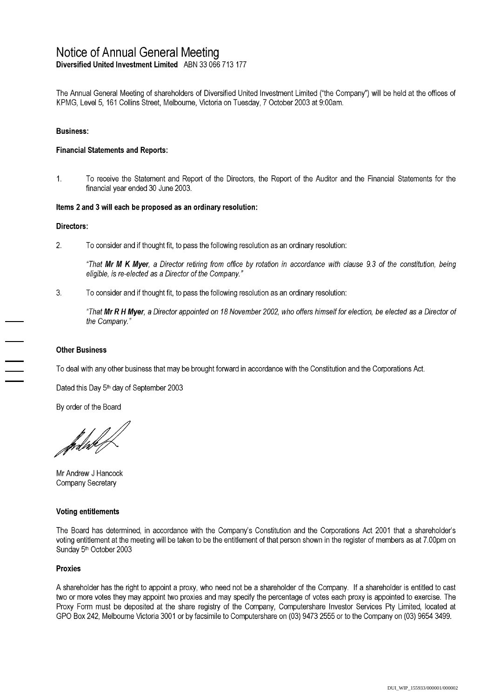# Notice of Annual General Meeting

Diversified United Investment Limited ABN 33 066 713 177

The Annual General Meeting of shareholders of Diversified United Investment Limited ("the Company") will be held at the offices of KPMG, Level 5, 161 Collins Street, Melbourne, Victoria on Tuesday, 7 October 2003 at 9:00am.

## **Business:**

## **Financial Statements and Reports:**

 $1.$ To receive the Statement and Report of the Directors, the Report of the Auditor and the Financial Statements for the financial vear ended 30 June 2003.

### Items 2 and 3 will each be proposed as an ordinary resolution:

### Directors:

 $\overline{2}$ . To consider and if thought fit, to pass the following resolution as an ordinary resolution:

"That Mr M K Myer, a Director retiring from office by rotation in accordance with clause 9.3 of the constitution, being eligible, is re-elected as a Director of the Company."

3. To consider and if thought fit, to pass the following resolution as an ordinary resolution:

"That Mr R H Myer, a Director appointed on 18 November 2002, who offers himself for election, be elected as a Director of the Company."

### **Other Business**

To deal with any other business that may be brought forward in accordance with the Constitution and the Corporations Act.

Dated this Day 5<sup>th</sup> day of September 2003

By order of the Board

fød*ht<sup>4</sup>* 

Mr Andrew J Hancock Company Secretary

#### **Voting entitlements**

The Board has determined, in accordance with the Company's Constitution and the Corporations Act 2001 that a shareholder's voting entitlement at the meeting will be taken to be the entitlement of that person shown in the register of members as at 7.00pm on Sunday 5<sup>th</sup> October 2003

## **Proxies**

A shareholder has the right to appoint a proxy, who need not be a shareholder of the Company. If a shareholder is entitled to cast two or more votes they may appoint two proxies and may specify the percentage of votes each proxy is appointed to exercise. The Proxy Form must be deposited at the share registry of the Company, Computershare Investor Services Pty Limited, located at GPO Box 242, Melbourne Victoria 3001 or by facsimile to Computershare on (03) 9473 2555 or to the Company on (03) 9654 3499.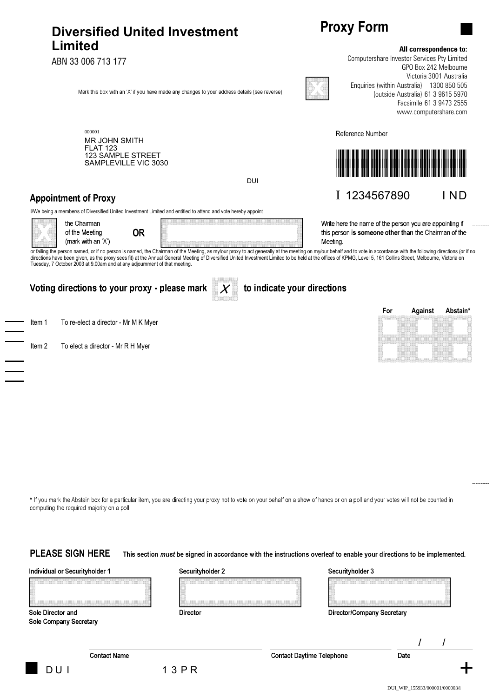# **Diversified United Investment Limited**

ABN 33 006 713 177



000001 MR JOHN SMITH FLAT 123 123 SAMPLE STREET SAMPLEVILLE VIC 3030

DUI

# **Appointment of Proxy**

I/We being a member/s of Diversified United Investment Limited and entitled to attend and vote hereby appoint





or failing the person named, or if no person is named, the Chairman of the Meeting, as my/our proxy to act generally at the meeting on my/our behalf and to vote in accordance with the following directions (or if no directions have been given, as the proxy sees fit) at the Annual General Meeting of Diversified United Investment Limited to be held at the offices of KPMG, Level 5, 161 Collins Street, Melbourne, Victoria on a street of t Tuesday, 7 October 2003 at 9.00am and at any adjournment of that meeting.

to indicate your directions

## Voting directions to your proxy - please mark

Item 1 To re-elect a director - Mr M K Myer

Item 2 To elect a director - Mr R H Myer



\* If you mark the Abstain box for a particular item, you are directing your proxy not to vote on your behalf on a show of hands or on a poll and your votes will not be counted in computing the required majority on a poll.

**PLEASE SIGN HERE** This section must be signed in accordance with the instructions overleaf to enable your directions to be implemented.

Individual or Securityholder 1

Securityholder 2

| Securityholder 3 |  |  |  |  |  |
|------------------|--|--|--|--|--|
|                  |  |  |  |  |  |

Director/Company Secretary

Sole Director and **Sole Company Secretary** 

**Contact Name** 

**Contact Daytime Telephone** 



D U I

**Proxy Form** 

Reference Number

## **All correspondence to:**

Computershare Investor Services Pty Limited GPO Box 242 Melbourne Victoria 3001 Australia Enquiries (within Australia) 1300 850 505 61 3 9615 5970 (outside Australia) Facsimile 61 3 9473 2555 www.computershare.com



I 1234567890 I ND

Write here the name of the person you are appointing if this person is someone other than the Chairman of the Meeting